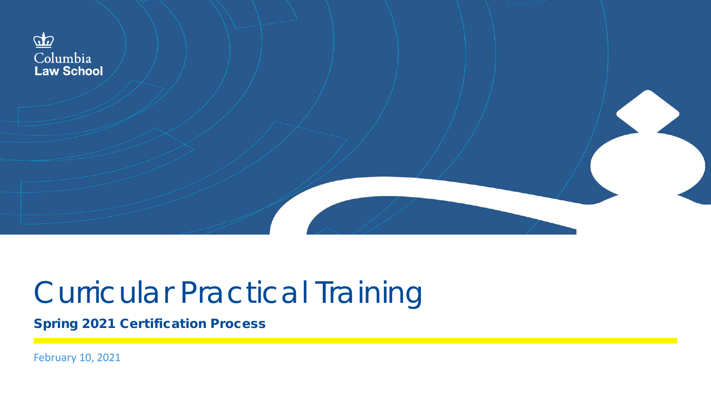

#### Curricular Practical Training

Spring 2021 Certification Process

February 10, 2021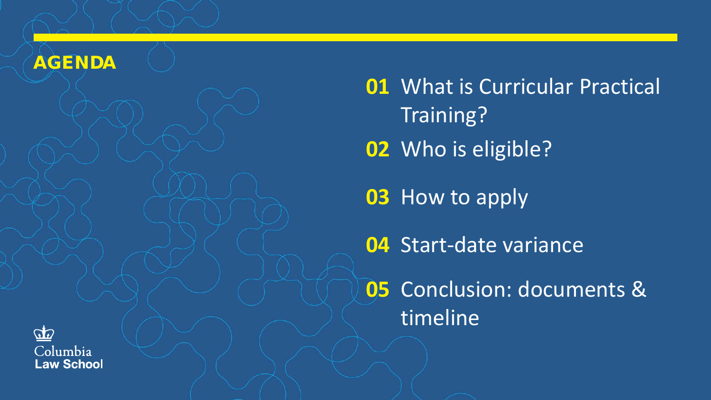#### AGENDA

 What is Curricular Practical Training? Who is eligible? How to apply Start-date variance

 Conclusion: documents & timeline

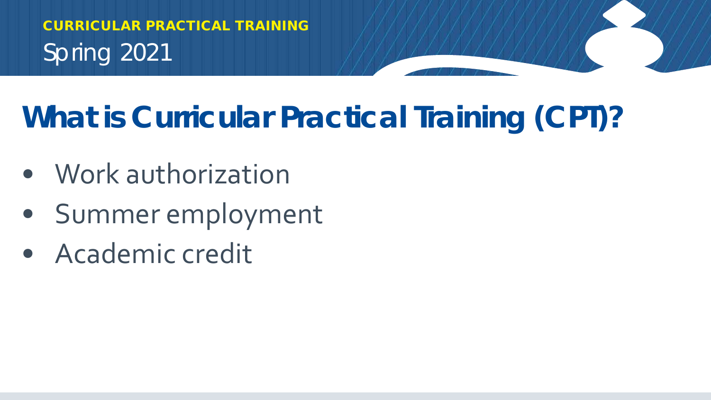## **What is Curricular Practical Training (CPT)?**

- Work authorization
- Summer employment
- Academic credit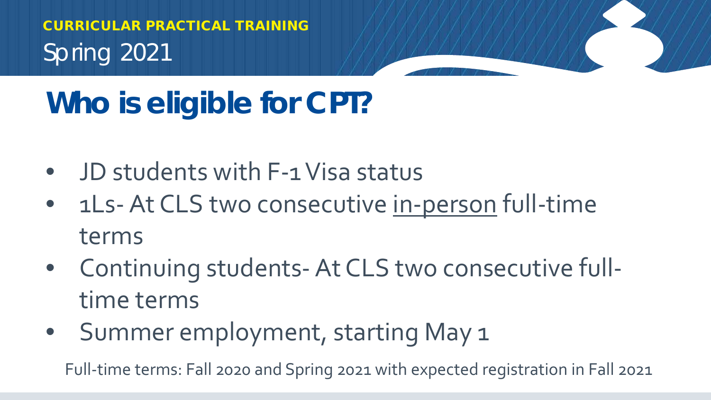## **Who is eligible for CPT?**

- JD students with F-1 Visa status
- 1Ls- At CLS two consecutive in-person full-time terms
- Continuing students-At CLS two consecutive fulltime terms
- Summer employment, starting May 1

Full-time terms: Fall 2020 and Spring 2021 with expected registration in Fall 2021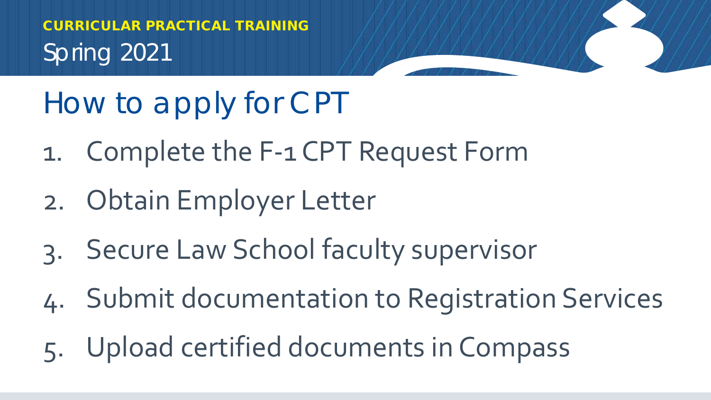## How to apply for CPT

- 1. Complete the F-1 CPT Request Form
- 2. Obtain Employer Letter
- 3. Secure Law School faculty supervisor
- 4. Submit documentation to Registration Services
- 5. Upload certified documents in Compass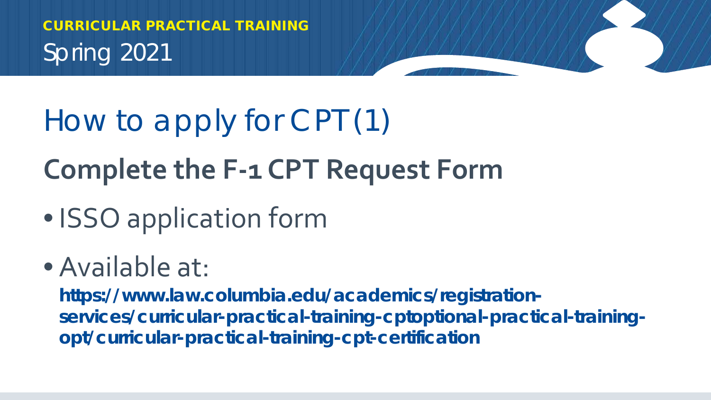## How to apply for CPT (1) **Complete the F-1 CPT Request Form**

• **ISSO** application form

#### • Available at:

**https://www.law.columbia.edu/academics/registrationservices/curricular-practical-training-cptoptional-practical-trainingopt/curricular-practical-training-cpt-certification**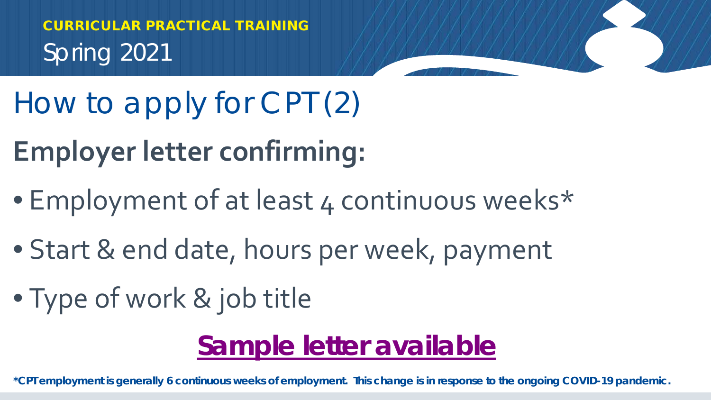- How to apply for CPT (2)
- **Employer letter confirming:**
- Employment of at least 4 continuous weeks\*
- Start & end date, hours per week, payment
- Type of work & job title

#### **[Sample letter available](https://isso.columbia.edu/sites/default/files/content/sampleletters/CPTemploymentsample.pdf)**

**\*CPT employment is generally 6 continuous weeks of employment. This change is in response to the ongoing COVID-19 pandemic.**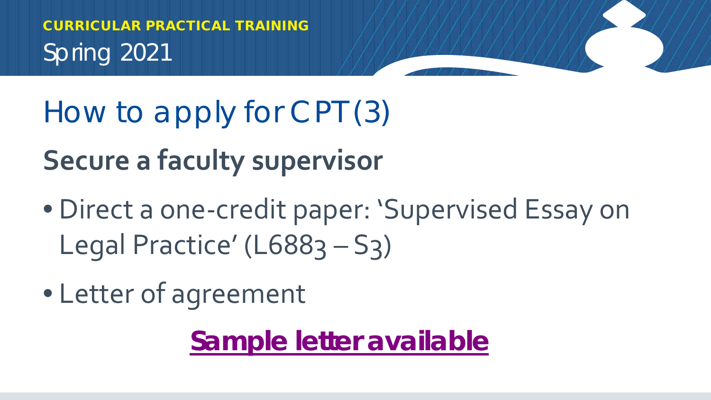How to apply for CPT (3)

**Secure a faculty supervisor** 

- Direct a one-credit paper: 'Supervised Essay on Legal Practice' (L6883 - S3)
- Letter of agreement

**[Sample letter available](https://www.law.columbia.edu/sites/default/files/2020-02/cpt_faculty_letter_sample_3.2019.pdf)**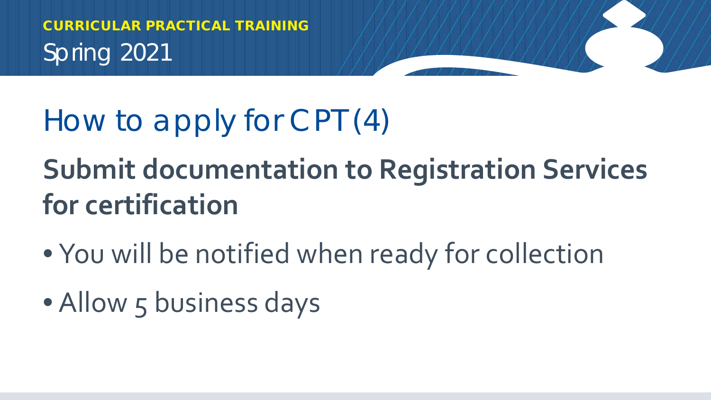#### How to apply for CPT (4)

## **Submit documentation to Registration Services for certification**

- You will be notified when ready for collection
- Allow 5 business days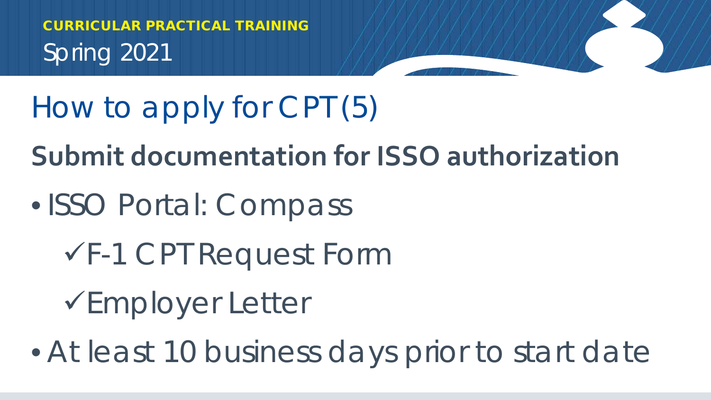How to apply for CPT (5)

**Submit documentation for ISSO authorization**

- ISSO Portal: Compass
	- F-1 CPT Request Form

Employer Letter

• At least 10 business days prior to start date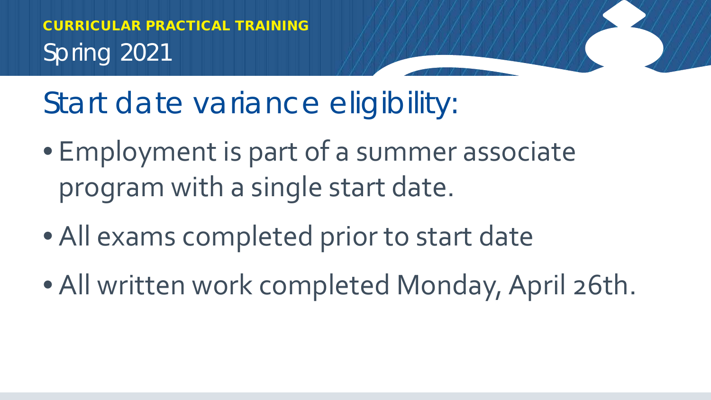Start date variance eligibility:

- Employment is part of a summer associate program with a single start date.
- All exams completed prior to start date
- All written work completed Monday, April 26th.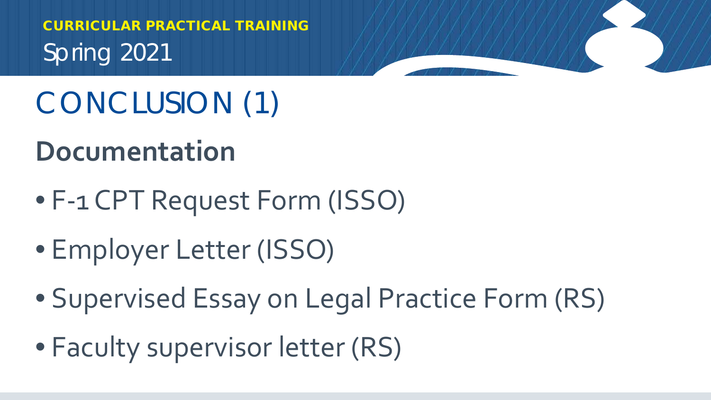## CONCLUSION (1)

#### **Documentation**

- F-1 CPT Request Form (ISSO)
- Employer Letter (ISSO)
- Supervised Essay on Legal Practice Form (RS)
- Faculty supervisor letter (RS)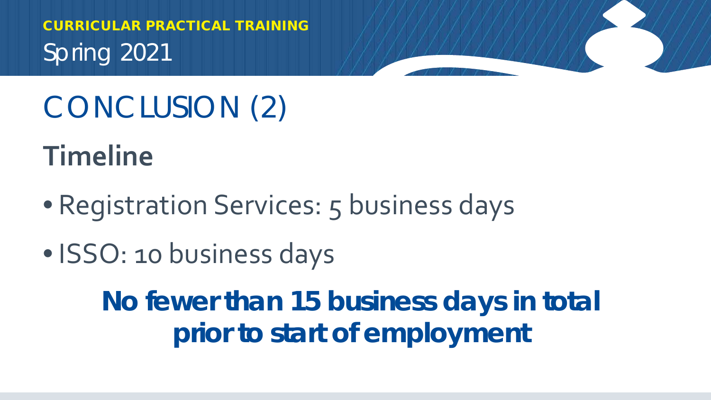# CONCLUSION (2)

**Timeline**

- Registration Services: 5 business days
- ISSO: 10 business days

**No fewer than 15 business days in total prior to start of employment**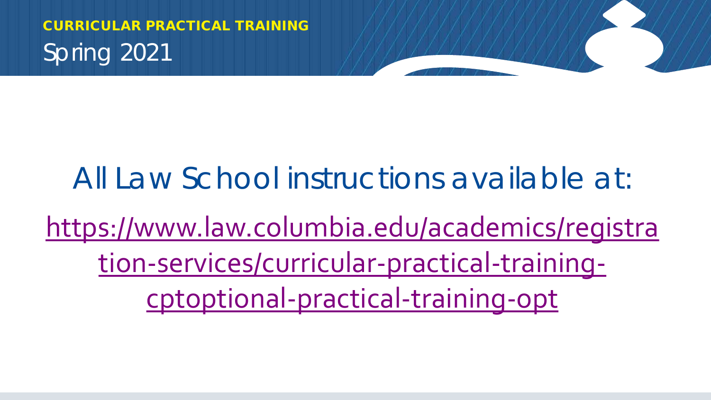#### All Law School instructions available at:

### [https://www.law.columbia.edu/academics/registra](https://www.law.columbia.edu/academics/registration-services/curricular-practical-training-cptoptional-practical-training-opt) tion-services/curricular-practical-trainingcptoptional-practical-training-opt